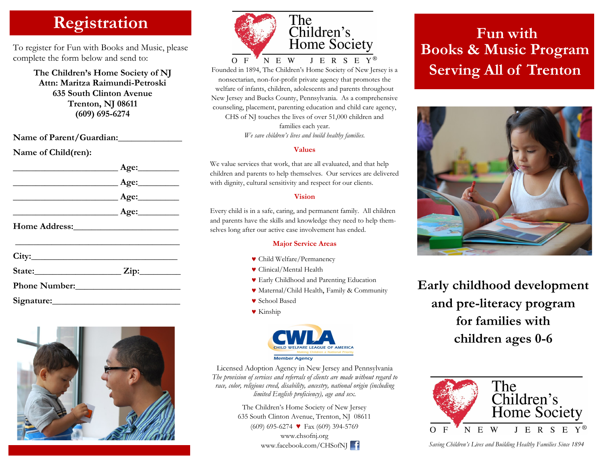### **Registration**

To register for Fun with Books and Music, please complete the form below and send to:

> **The Children's Home Society of NJ Attn: Maritza Raimundi-Petroski 635 South Clinton Avenue Trenton, NJ 08611 (609) 695-6274**

Name of Parent/Guardian:

**Name of Child(ren):**

|            | $\qquad \qquad \text{Age:} \qquad$ |  |
|------------|------------------------------------|--|
|            | $\overbrace{\text{Age:}}$          |  |
|            | $\overline{\phantom{a}}$ Age:      |  |
|            |                                    |  |
|            |                                    |  |
| City:      |                                    |  |
|            | $\overline{\text{Zip:}}$           |  |
|            |                                    |  |
| Signature: |                                    |  |





Founded in 1894, The Children's Home Society of New Jersey is a nonsectarian, non-for-profit private agency that promotes the welfare of infants, children, adolescents and parents throughout New Jersey and Bucks County, Pennsylvania. As a comprehensive counseling, placement, parenting education and child care agency,

CHS of NJ touches the lives of over 51,000 children and families each year.

*We save children's lives and build healthy families.*

### **Values**

We value services that work, that are all evaluated, and that help children and parents to help themselves. Our services are delivered with dignity, cultural sensitivity and respect for our clients.

#### **Vision**

Every child is in a safe, caring, and permanent family. All children and parents have the skills and knowledge they need to help themselves long after our active case involvement has ended.

### **Major Service Areas**

- Child Welfare/Permanency
- Clinical/Mental Health
- Early Childhood and Parenting Education
- Maternal/Child Health, Family & Community
- School Based
- Kinship



Licensed Adoption Agency in New Jersey and Pennsylvania *The provision of services and referrals of clients are made without regard to race, color, religious creed, disability, ancestry, national origin (including limited English proficiency), age and sex.*

> The Children's Home Society of New Jersey 635 South Clinton Avenue, Trenton, NJ 08611

> > (609) 695-6274 ♥ Fax (609) 394-5769 www.chsofnj.org

www.facebook.com/CHSofNJ

### **Fun with Books & Music Program Serving All of Trenton**



**Early childhood development and pre-literacy program for families with children ages 0-6** 



*Saving Children's Lives and Building Healthy Families Since 1894*